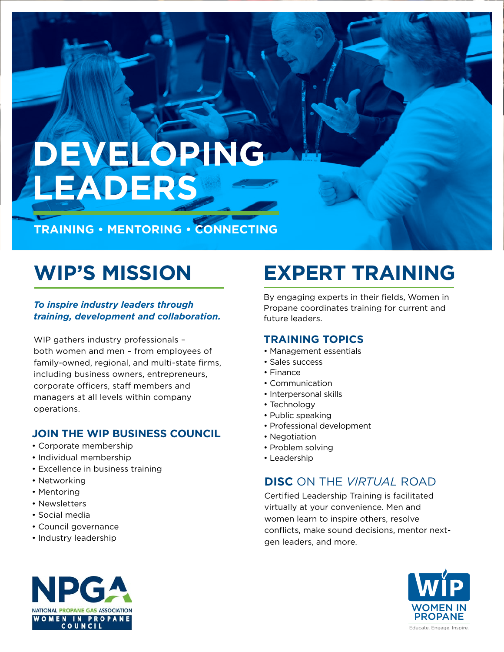## **DEVELOPING LEADERS**

**TRAINING • MENTORING • CONNECTING**

### **WIP'S MISSION**

*To inspire industry leaders through training, development and collaboration.*

WIP gathers industry professionals – both women and men – from employees of family-owned, regional, and multi-state firms, including business owners, entrepreneurs, corporate officers, staff members and managers at all levels within company operations.

### **JOIN THE WIP BUSINESS COUNCIL**

- Corporate membership
- Individual membership
- Excellence in business training
- Networking
- Mentoring
- Newsletters
- Social media
- Council governance
- Industry leadership



## **EXPERT TRAINING**

By engaging experts in their fields, Women in Propane coordinates training for current and future leaders.

### **TRAINING TOPICS**

- Management essentials
- Sales success
- Finance
- Communication
- Interpersonal skills
- Technology
- Public speaking
- Professional development
- Negotiation
- Problem solving
- Leadership

### **DISC** ON THE *VIRTUAL* ROAD

Certified Leadership Training is facilitated virtually at your convenience. Men and women learn to inspire others, resolve conflicts, make sound decisions, mentor nextgen leaders, and more.